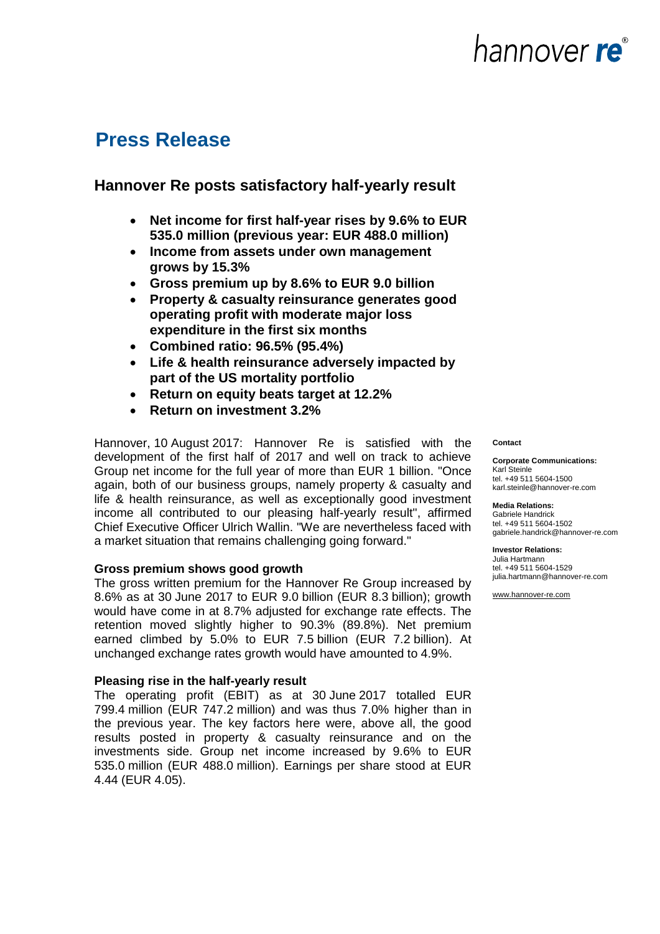## hannover re<sup>®</sup>

### **Press Release**

### **Hannover Re posts satisfactory half-yearly result**

- **Net income for first half-year rises by 9.6% to EUR 535.0 million (previous year: EUR 488.0 million)**
- **Income from assets under own management grows by 15.3%**
- **Gross premium up by 8.6% to EUR 9.0 billion**
- **Property & casualty reinsurance generates good operating profit with moderate major loss expenditure in the first six months**
- **Combined ratio: 96.5% (95.4%)**
- **Life & health reinsurance adversely impacted by part of the US mortality portfolio**
- **Return on equity beats target at 12.2%**
- **Return on investment 3.2%**

Hannover, 10 August 2017: Hannover Re is satisfied with the development of the first half of 2017 and well on track to achieve Group net income for the full year of more than EUR 1 billion. "Once again, both of our business groups, namely property & casualty and life & health reinsurance, as well as exceptionally good investment income all contributed to our pleasing half-yearly result", affirmed Chief Executive Officer Ulrich Wallin. "We are nevertheless faced with a market situation that remains challenging going forward."

#### **Gross premium shows good growth**

The gross written premium for the Hannover Re Group increased by 8.6% as at 30 June 2017 to EUR 9.0 billion (EUR 8.3 billion); growth would have come in at 8.7% adjusted for exchange rate effects. The retention moved slightly higher to 90.3% (89.8%). Net premium earned climbed by 5.0% to EUR 7.5 billion (EUR 7.2 billion). At unchanged exchange rates growth would have amounted to 4.9%.

#### **Pleasing rise in the half-yearly result**

The operating profit (EBIT) as at 30 June 2017 totalled EUR 799.4 million (EUR 747.2 million) and was thus 7.0% higher than in the previous year. The key factors here were, above all, the good results posted in property & casualty reinsurance and on the investments side. Group net income increased by 9.6% to EUR 535.0 million (EUR 488.0 million). Earnings per share stood at EUR 4.44 (EUR 4.05).

#### **Contact**

**Corporate Communications:** Karl Steinle tel. +49 511 5604-1500 karl.steinle@hannover-re.com

**Media Relations:**  Gabriele Handrick tel. +49 511 5604-1502 gabriele.handrick@hannover-re.com

**Investor Relations:**  Julia Hartmann tel. +49 511 5604-1529 julia.hartmann@hannover-re.com

[www.hannover-re.com](http://www.hannover-re.com/)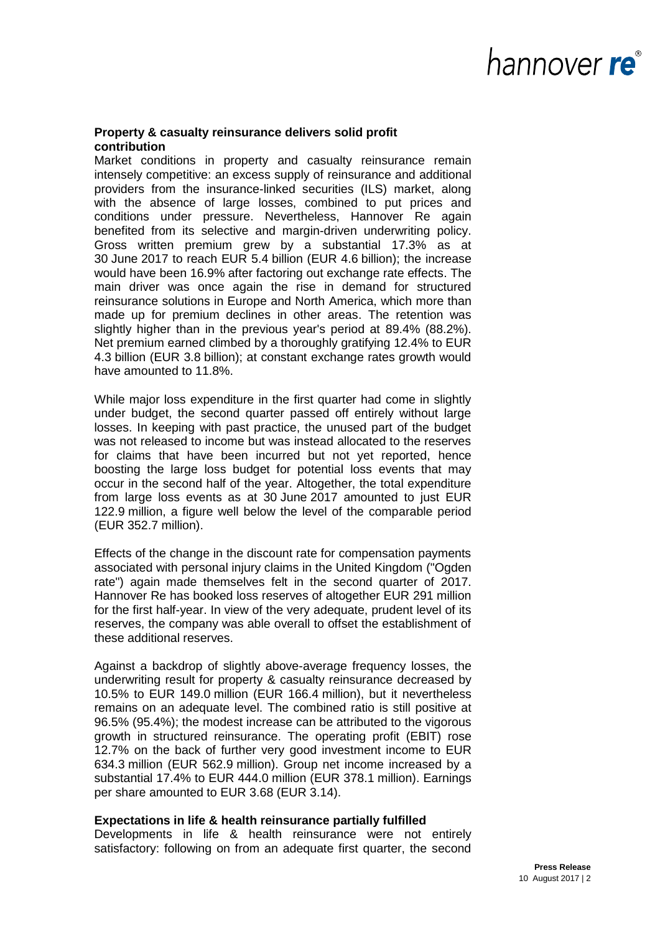# nannover re<sup>®</sup>

#### **Property & casualty reinsurance delivers solid profit contribution**

Market conditions in property and casualty reinsurance remain intensely competitive: an excess supply of reinsurance and additional providers from the insurance-linked securities (ILS) market, along with the absence of large losses, combined to put prices and conditions under pressure. Nevertheless, Hannover Re again benefited from its selective and margin-driven underwriting policy. Gross written premium grew by a substantial 17.3% as at 30 June 2017 to reach EUR 5.4 billion (EUR 4.6 billion); the increase would have been 16.9% after factoring out exchange rate effects. The main driver was once again the rise in demand for structured reinsurance solutions in Europe and North America, which more than made up for premium declines in other areas. The retention was slightly higher than in the previous year's period at 89.4% (88.2%). Net premium earned climbed by a thoroughly gratifying 12.4% to EUR 4.3 billion (EUR 3.8 billion); at constant exchange rates growth would have amounted to 11.8%.

While major loss expenditure in the first quarter had come in slightly under budget, the second quarter passed off entirely without large losses. In keeping with past practice, the unused part of the budget was not released to income but was instead allocated to the reserves for claims that have been incurred but not yet reported, hence boosting the large loss budget for potential loss events that may occur in the second half of the year. Altogether, the total expenditure from large loss events as at 30 June 2017 amounted to just EUR 122.9 million, a figure well below the level of the comparable period (EUR 352.7 million).

Effects of the change in the discount rate for compensation payments associated with personal injury claims in the United Kingdom ("Ogden rate") again made themselves felt in the second quarter of 2017. Hannover Re has booked loss reserves of altogether EUR 291 million for the first half-year. In view of the very adequate, prudent level of its reserves, the company was able overall to offset the establishment of these additional reserves.

Against a backdrop of slightly above-average frequency losses, the underwriting result for property & casualty reinsurance decreased by 10.5% to EUR 149.0 million (EUR 166.4 million), but it nevertheless remains on an adequate level. The combined ratio is still positive at 96.5% (95.4%); the modest increase can be attributed to the vigorous growth in structured reinsurance. The operating profit (EBIT) rose 12.7% on the back of further very good investment income to EUR 634.3 million (EUR 562.9 million). Group net income increased by a substantial 17.4% to EUR 444.0 million (EUR 378.1 million). Earnings per share amounted to EUR 3.68 (EUR 3.14).

#### **Expectations in life & health reinsurance partially fulfilled**

Developments in life & health reinsurance were not entirely satisfactory: following on from an adequate first quarter, the second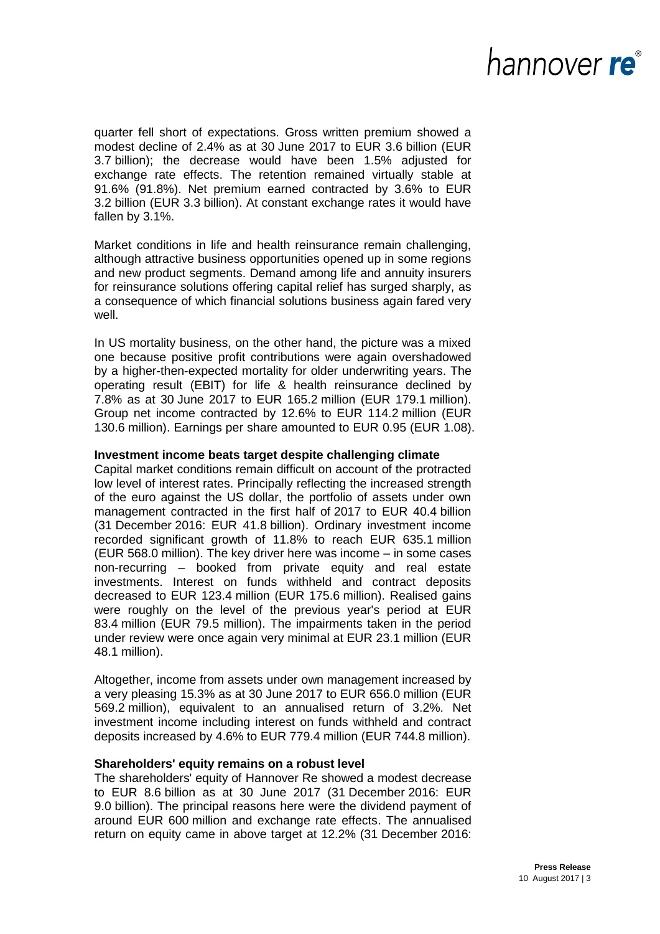## nannover re®

quarter fell short of expectations. Gross written premium showed a modest decline of 2.4% as at 30 June 2017 to EUR 3.6 billion (EUR 3.7 billion); the decrease would have been 1.5% adjusted for exchange rate effects. The retention remained virtually stable at 91.6% (91.8%). Net premium earned contracted by 3.6% to EUR 3.2 billion (EUR 3.3 billion). At constant exchange rates it would have fallen by 3.1%.

Market conditions in life and health reinsurance remain challenging, although attractive business opportunities opened up in some regions and new product segments. Demand among life and annuity insurers for reinsurance solutions offering capital relief has surged sharply, as a consequence of which financial solutions business again fared very well.

In US mortality business, on the other hand, the picture was a mixed one because positive profit contributions were again overshadowed by a higher-then-expected mortality for older underwriting years. The operating result (EBIT) for life & health reinsurance declined by 7.8% as at 30 June 2017 to EUR 165.2 million (EUR 179.1 million). Group net income contracted by 12.6% to EUR 114.2 million (EUR 130.6 million). Earnings per share amounted to EUR 0.95 (EUR 1.08).

#### **Investment income beats target despite challenging climate**

Capital market conditions remain difficult on account of the protracted low level of interest rates. Principally reflecting the increased strength of the euro against the US dollar, the portfolio of assets under own management contracted in the first half of 2017 to EUR 40.4 billion (31 December 2016: EUR 41.8 billion). Ordinary investment income recorded significant growth of 11.8% to reach EUR 635.1 million (EUR 568.0 million). The key driver here was income – in some cases non-recurring – booked from private equity and real estate investments. Interest on funds withheld and contract deposits decreased to EUR 123.4 million (EUR 175.6 million). Realised gains were roughly on the level of the previous year's period at EUR 83.4 million (EUR 79.5 million). The impairments taken in the period under review were once again very minimal at EUR 23.1 million (EUR 48.1 million).

Altogether, income from assets under own management increased by a very pleasing 15.3% as at 30 June 2017 to EUR 656.0 million (EUR 569.2 million), equivalent to an annualised return of 3.2%. Net investment income including interest on funds withheld and contract deposits increased by 4.6% to EUR 779.4 million (EUR 744.8 million).

#### **Shareholders' equity remains on a robust level**

The shareholders' equity of Hannover Re showed a modest decrease to EUR 8.6 billion as at 30 June 2017 (31 December 2016: EUR 9.0 billion). The principal reasons here were the dividend payment of around EUR 600 million and exchange rate effects. The annualised return on equity came in above target at 12.2% (31 December 2016: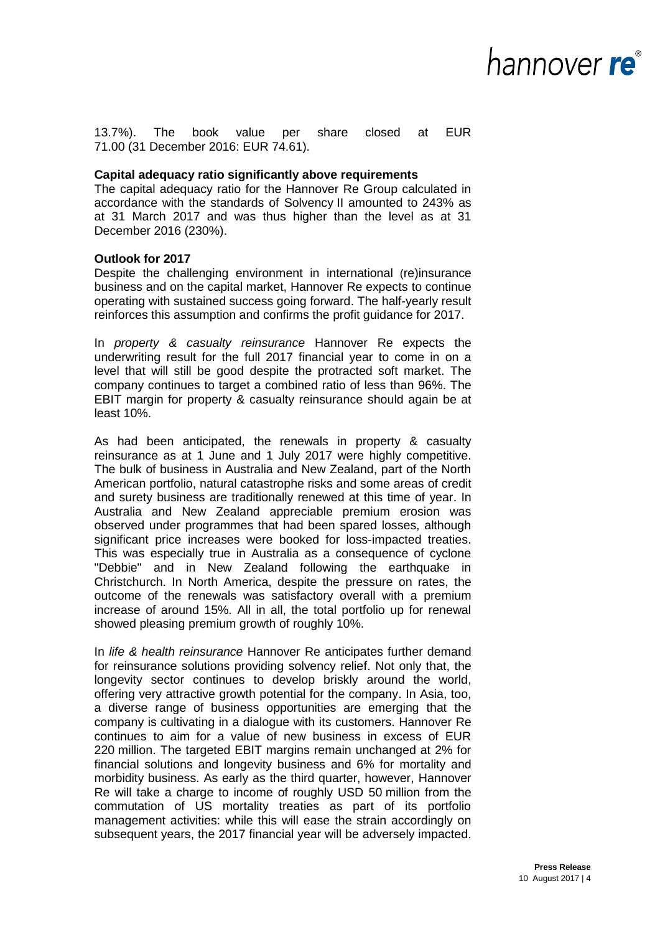## nannover re®

13.7%). The book value per share closed at EUR 71.00 (31 December 2016: EUR 74.61).

#### **Capital adequacy ratio significantly above requirements**

The capital adequacy ratio for the Hannover Re Group calculated in accordance with the standards of Solvency II amounted to 243% as at 31 March 2017 and was thus higher than the level as at 31 December 2016 (230%).

#### **Outlook for 2017**

Despite the challenging environment in international (re)insurance business and on the capital market, Hannover Re expects to continue operating with sustained success going forward. The half-yearly result reinforces this assumption and confirms the profit guidance for 2017.

In *property & casualty reinsurance* Hannover Re expects the underwriting result for the full 2017 financial year to come in on a level that will still be good despite the protracted soft market. The company continues to target a combined ratio of less than 96%. The EBIT margin for property & casualty reinsurance should again be at least 10%.

As had been anticipated, the renewals in property & casualty reinsurance as at 1 June and 1 July 2017 were highly competitive. The bulk of business in Australia and New Zealand, part of the North American portfolio, natural catastrophe risks and some areas of credit and surety business are traditionally renewed at this time of year. In Australia and New Zealand appreciable premium erosion was observed under programmes that had been spared losses, although significant price increases were booked for loss-impacted treaties. This was especially true in Australia as a consequence of cyclone "Debbie" and in New Zealand following the earthquake in Christchurch. In North America, despite the pressure on rates, the outcome of the renewals was satisfactory overall with a premium increase of around 15%. All in all, the total portfolio up for renewal showed pleasing premium growth of roughly 10%.

In *life & health reinsurance* Hannover Re anticipates further demand for reinsurance solutions providing solvency relief. Not only that, the longevity sector continues to develop briskly around the world, offering very attractive growth potential for the company. In Asia, too, a diverse range of business opportunities are emerging that the company is cultivating in a dialogue with its customers. Hannover Re continues to aim for a value of new business in excess of EUR 220 million. The targeted EBIT margins remain unchanged at 2% for financial solutions and longevity business and 6% for mortality and morbidity business. As early as the third quarter, however, Hannover Re will take a charge to income of roughly USD 50 million from the commutation of US mortality treaties as part of its portfolio management activities: while this will ease the strain accordingly on subsequent years, the 2017 financial year will be adversely impacted.